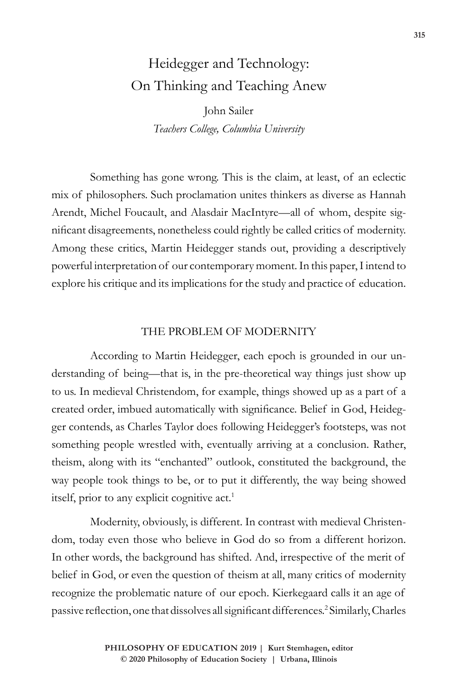# Heidegger and Technology: On Thinking and Teaching Anew

John Sailer *Teachers College, Columbia University*

Something has gone wrong. This is the claim, at least, of an eclectic mix of philosophers. Such proclamation unites thinkers as diverse as Hannah Arendt, Michel Foucault, and Alasdair MacIntyre—all of whom, despite significant disagreements, nonetheless could rightly be called critics of modernity. Among these critics, Martin Heidegger stands out, providing a descriptively powerful interpretation of our contemporary moment. In this paper, I intend to explore his critique and its implications for the study and practice of education.

#### THE PROBLEM OF MODERNITY

According to Martin Heidegger, each epoch is grounded in our understanding of being—that is, in the pre-theoretical way things just show up to us. In medieval Christendom, for example, things showed up as a part of a created order, imbued automatically with significance. Belief in God, Heidegger contends, as Charles Taylor does following Heidegger's footsteps, was not something people wrestled with, eventually arriving at a conclusion. Rather, theism, along with its "enchanted" outlook, constituted the background, the way people took things to be, or to put it differently, the way being showed itself, prior to any explicit cognitive act.<sup>1</sup>

Modernity, obviously, is different. In contrast with medieval Christendom, today even those who believe in God do so from a different horizon. In other words, the background has shifted. And, irrespective of the merit of belief in God, or even the question of theism at all, many critics of modernity recognize the problematic nature of our epoch. Kierkegaard calls it an age of passive reflection, one that dissolves all significant differences.<sup>2</sup> Similarly, Charles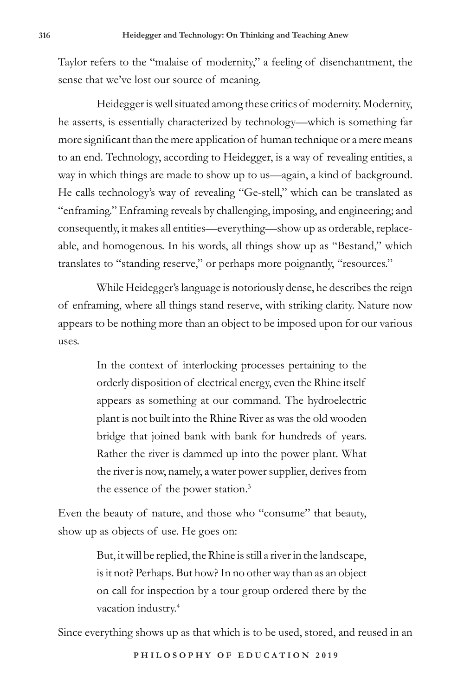Taylor refers to the "malaise of modernity," a feeling of disenchantment, the sense that we've lost our source of meaning.

Heidegger is well situated among these critics of modernity. Modernity, he asserts, is essentially characterized by technology—which is something far more significant than the mere application of human technique or a mere means to an end. Technology, according to Heidegger, is a way of revealing entities, a way in which things are made to show up to us—again, a kind of background. He calls technology's way of revealing "Ge-stell," which can be translated as "enframing." Enframing reveals by challenging, imposing, and engineering; and consequently, it makes all entities—everything—show up as orderable, replaceable, and homogenous. In his words, all things show up as "Bestand," which translates to "standing reserve," or perhaps more poignantly, "resources."

While Heidegger's language is notoriously dense, he describes the reign of enframing, where all things stand reserve, with striking clarity. Nature now appears to be nothing more than an object to be imposed upon for our various uses.

> In the context of interlocking processes pertaining to the orderly disposition of electrical energy, even the Rhine itself appears as something at our command. The hydroelectric plant is not built into the Rhine River as was the old wooden bridge that joined bank with bank for hundreds of years. Rather the river is dammed up into the power plant. What the river is now, namely, a water power supplier, derives from the essence of the power station.<sup>3</sup>

Even the beauty of nature, and those who "consume" that beauty, show up as objects of use. He goes on:

> But, it will be replied, the Rhine is still a river in the landscape, is it not? Perhaps. But how? In no other way than as an object on call for inspection by a tour group ordered there by the vacation industry.4

Since everything shows up as that which is to be used, stored, and reused in an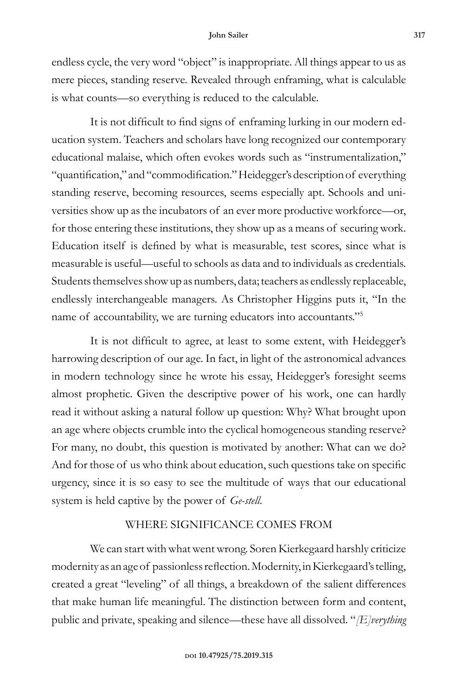#### **John Sailer 317**

endless cycle, the very word "object" is inappropriate. All things appear to us as mere pieces, standing reserve. Revealed through enframing, what is calculable is what counts—so everything is reduced to the calculable.

It is not difficult to find signs of enframing lurking in our modern education system. Teachers and scholars have long recognized our contemporary educational malaise, which often evokes words such as "instrumentalization," "quantification," and "commodification." Heidegger's description of everything standing reserve, becoming resources, seems especially apt. Schools and universities show up as the incubators of an ever more productive workforce—or, for those entering these institutions, they show up as a means of securing work. Education itself is defined by what is measurable, test scores, since what is measurable is useful—useful to schools as data and to individuals as credentials. Students themselves show up as numbers, data; teachers as endlessly replaceable, endlessly interchangeable managers. As Christopher Higgins puts it, "In the name of accountability, we are turning educators into accountants."<sup>5</sup>

It is not difficult to agree, at least to some extent, with Heidegger's harrowing description of our age. In fact, in light of the astronomical advances in modern technology since he wrote his essay, Heidegger's foresight seems almost prophetic. Given the descriptive power of his work, one can hardly read it without asking a natural follow up question: Why? What brought upon an age where objects crumble into the cyclical homogeneous standing reserve? For many, no doubt, this question is motivated by another: What can we do? And for those of us who think about education, such questions take on specific urgency, since it is so easy to see the multitude of ways that our educational system is held captive by the power of *Ge-stell*.

### WHERE SIGNIFICANCE COMES FROM

We can start with what went wrong. Soren Kierkegaard harshly criticize modernity as an age of passionless reflection. Modernity, in Kierkegaard's telling, created a great "leveling" of all things, a breakdown of the salient differences that make human life meaningful. The distinction between form and content, public and private, speaking and silence—these have all dissolved. "*[E]verything*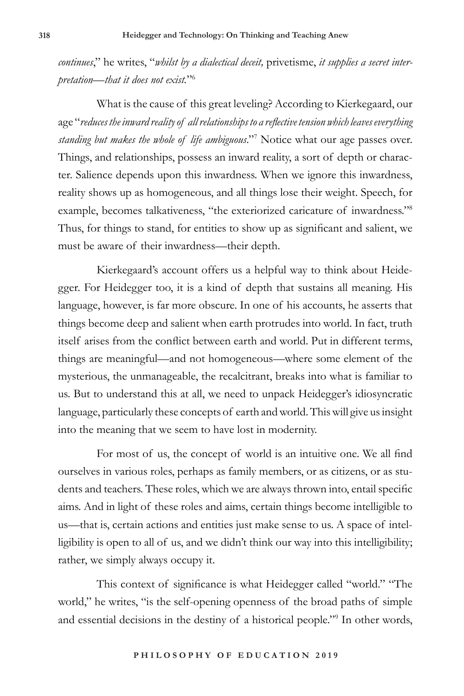*continues*," he writes, "*whilst by a dialectical deceit,* privetisme, *it supplies a secret interpretation—that it does not exist.*"6

What is the cause of this great leveling? According to Kierkegaard, our age "*reduces the inward reality of all relationships to a reflective tension which leaves everything standing but makes the whole of life ambiguous*."7 Notice what our age passes over. Things, and relationships, possess an inward reality, a sort of depth or character. Salience depends upon this inwardness. When we ignore this inwardness, reality shows up as homogeneous, and all things lose their weight. Speech, for example, becomes talkativeness, "the exteriorized caricature of inwardness."<sup>8</sup> Thus, for things to stand, for entities to show up as significant and salient, we must be aware of their inwardness—their depth.

Kierkegaard's account offers us a helpful way to think about Heidegger. For Heidegger too, it is a kind of depth that sustains all meaning. His language, however, is far more obscure. In one of his accounts, he asserts that things become deep and salient when earth protrudes into world. In fact, truth itself arises from the conflict between earth and world. Put in different terms, things are meaningful—and not homogeneous—where some element of the mysterious, the unmanageable, the recalcitrant, breaks into what is familiar to us. But to understand this at all, we need to unpack Heidegger's idiosyncratic language, particularly these concepts of earth and world. This will give us insight into the meaning that we seem to have lost in modernity.

For most of us, the concept of world is an intuitive one. We all find ourselves in various roles, perhaps as family members, or as citizens, or as students and teachers. These roles, which we are always thrown into, entail specific aims. And in light of these roles and aims, certain things become intelligible to us—that is, certain actions and entities just make sense to us. A space of intelligibility is open to all of us, and we didn't think our way into this intelligibility; rather, we simply always occupy it.

This context of significance is what Heidegger called "world." "The world," he writes, "is the self-opening openness of the broad paths of simple and essential decisions in the destiny of a historical people."9 In other words,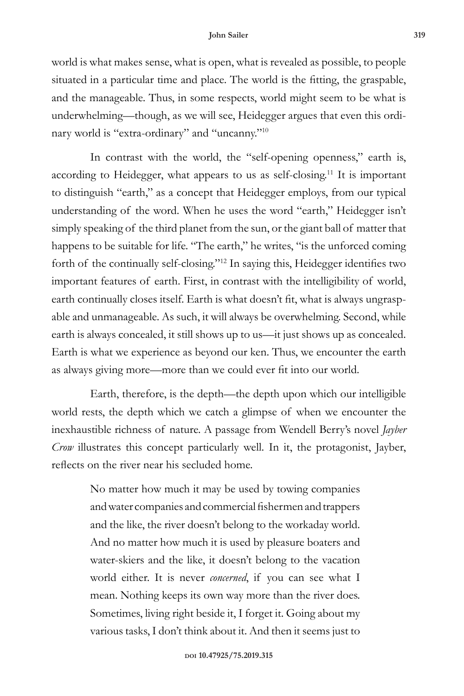world is what makes sense, what is open, what is revealed as possible, to people situated in a particular time and place. The world is the fitting, the graspable, and the manageable. Thus, in some respects, world might seem to be what is underwhelming—though, as we will see, Heidegger argues that even this ordinary world is "extra-ordinary" and "uncanny."10

In contrast with the world, the "self-opening openness," earth is, according to Heidegger, what appears to us as self-closing.11 It is important to distinguish "earth," as a concept that Heidegger employs, from our typical understanding of the word. When he uses the word "earth," Heidegger isn't simply speaking of the third planet from the sun, or the giant ball of matter that happens to be suitable for life. "The earth," he writes, "is the unforced coming forth of the continually self-closing."12 In saying this, Heidegger identifies two important features of earth. First, in contrast with the intelligibility of world, earth continually closes itself. Earth is what doesn't fit, what is always ungraspable and unmanageable. As such, it will always be overwhelming. Second, while earth is always concealed, it still shows up to us—it just shows up as concealed. Earth is what we experience as beyond our ken. Thus, we encounter the earth as always giving more—more than we could ever fit into our world.

Earth, therefore, is the depth—the depth upon which our intelligible world rests, the depth which we catch a glimpse of when we encounter the inexhaustible richness of nature. A passage from Wendell Berry's novel *Jayber Crow* illustrates this concept particularly well. In it, the protagonist, Jayber, reflects on the river near his secluded home.

> No matter how much it may be used by towing companies and water companies and commercial fishermen and trappers and the like, the river doesn't belong to the workaday world. And no matter how much it is used by pleasure boaters and water-skiers and the like, it doesn't belong to the vacation world either. It is never *concerned*, if you can see what I mean. Nothing keeps its own way more than the river does. Sometimes, living right beside it, I forget it. Going about my various tasks, I don't think about it. And then it seems just to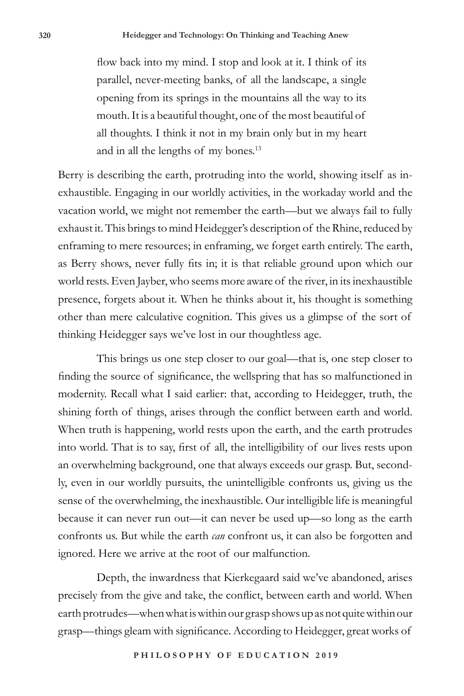flow back into my mind. I stop and look at it. I think of its parallel, never-meeting banks, of all the landscape, a single opening from its springs in the mountains all the way to its mouth. It is a beautiful thought, one of the most beautiful of all thoughts. I think it not in my brain only but in my heart and in all the lengths of my bones.<sup>13</sup>

Berry is describing the earth, protruding into the world, showing itself as inexhaustible. Engaging in our worldly activities, in the workaday world and the vacation world, we might not remember the earth—but we always fail to fully exhaust it. This brings to mind Heidegger's description of the Rhine, reduced by enframing to mere resources; in enframing, we forget earth entirely. The earth, as Berry shows, never fully fits in; it is that reliable ground upon which our world rests. Even Jayber, who seems more aware of the river, in its inexhaustible presence, forgets about it. When he thinks about it, his thought is something other than mere calculative cognition. This gives us a glimpse of the sort of thinking Heidegger says we've lost in our thoughtless age.

This brings us one step closer to our goal—that is, one step closer to finding the source of significance, the wellspring that has so malfunctioned in modernity. Recall what I said earlier: that, according to Heidegger, truth, the shining forth of things, arises through the conflict between earth and world. When truth is happening, world rests upon the earth, and the earth protrudes into world. That is to say, first of all, the intelligibility of our lives rests upon an overwhelming background, one that always exceeds our grasp. But, secondly, even in our worldly pursuits, the unintelligible confronts us, giving us the sense of the overwhelming, the inexhaustible. Our intelligible life is meaningful because it can never run out—it can never be used up—so long as the earth confronts us. But while the earth *can* confront us, it can also be forgotten and ignored. Here we arrive at the root of our malfunction.

Depth, the inwardness that Kierkegaard said we've abandoned, arises precisely from the give and take, the conflict, between earth and world. When earth protrudes—when what is within our grasp shows up as not quite within our grasp—things gleam with significance. According to Heidegger, great works of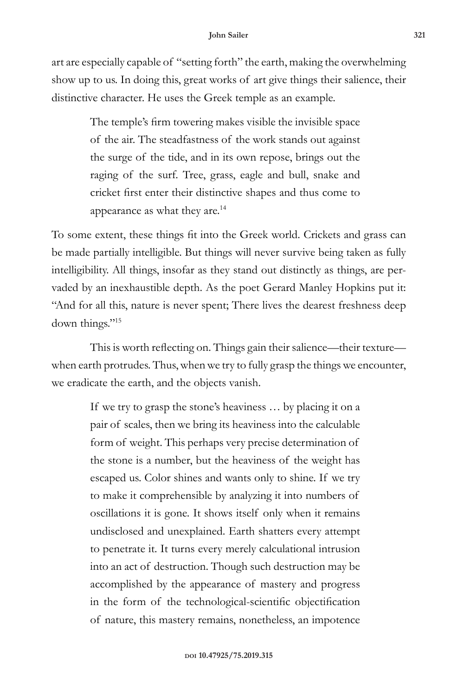art are especially capable of "setting forth" the earth, making the overwhelming show up to us. In doing this, great works of art give things their salience, their distinctive character. He uses the Greek temple as an example.

> The temple's firm towering makes visible the invisible space of the air. The steadfastness of the work stands out against the surge of the tide, and in its own repose, brings out the raging of the surf. Tree, grass, eagle and bull, snake and cricket first enter their distinctive shapes and thus come to appearance as what they are.<sup>14</sup>

To some extent, these things fit into the Greek world. Crickets and grass can be made partially intelligible. But things will never survive being taken as fully intelligibility. All things, insofar as they stand out distinctly as things, are pervaded by an inexhaustible depth. As the poet Gerard Manley Hopkins put it: "And for all this, nature is never spent; There lives the dearest freshness deep down things."15

This is worth reflecting on. Things gain their salience—their texture when earth protrudes. Thus, when we try to fully grasp the things we encounter, we eradicate the earth, and the objects vanish.

> If we try to grasp the stone's heaviness … by placing it on a pair of scales, then we bring its heaviness into the calculable form of weight. This perhaps very precise determination of the stone is a number, but the heaviness of the weight has escaped us. Color shines and wants only to shine. If we try to make it comprehensible by analyzing it into numbers of oscillations it is gone. It shows itself only when it remains undisclosed and unexplained. Earth shatters every attempt to penetrate it. It turns every merely calculational intrusion into an act of destruction. Though such destruction may be accomplished by the appearance of mastery and progress in the form of the technological-scientific objectification of nature, this mastery remains, nonetheless, an impotence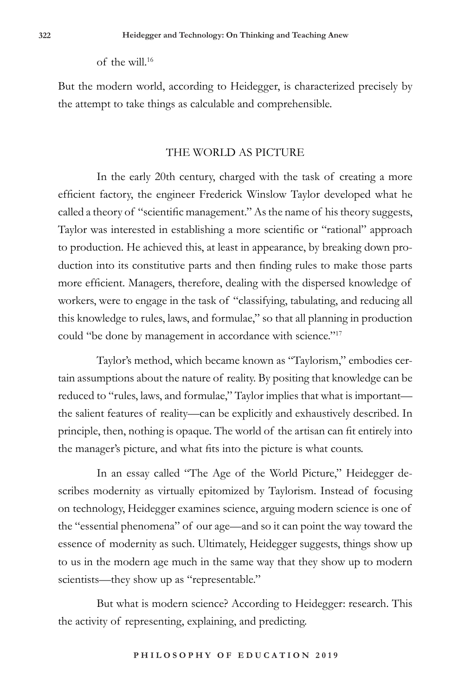of the will.16

But the modern world, according to Heidegger, is characterized precisely by the attempt to take things as calculable and comprehensible.

#### THE WORLD AS PICTURE

In the early 20th century, charged with the task of creating a more efficient factory, the engineer Frederick Winslow Taylor developed what he called a theory of "scientific management." As the name of his theory suggests, Taylor was interested in establishing a more scientific or "rational" approach to production. He achieved this, at least in appearance, by breaking down production into its constitutive parts and then finding rules to make those parts more efficient. Managers, therefore, dealing with the dispersed knowledge of workers, were to engage in the task of "classifying, tabulating, and reducing all this knowledge to rules, laws, and formulae," so that all planning in production could "be done by management in accordance with science."<sup>17</sup>

Taylor's method, which became known as "Taylorism," embodies certain assumptions about the nature of reality. By positing that knowledge can be reduced to "rules, laws, and formulae," Taylor implies that what is important the salient features of reality—can be explicitly and exhaustively described. In principle, then, nothing is opaque. The world of the artisan can fit entirely into the manager's picture, and what fits into the picture is what counts.

In an essay called "The Age of the World Picture," Heidegger describes modernity as virtually epitomized by Taylorism. Instead of focusing on technology, Heidegger examines science, arguing modern science is one of the "essential phenomena" of our age—and so it can point the way toward the essence of modernity as such. Ultimately, Heidegger suggests, things show up to us in the modern age much in the same way that they show up to modern scientists—they show up as "representable."

But what is modern science? According to Heidegger: research. This the activity of representing, explaining, and predicting.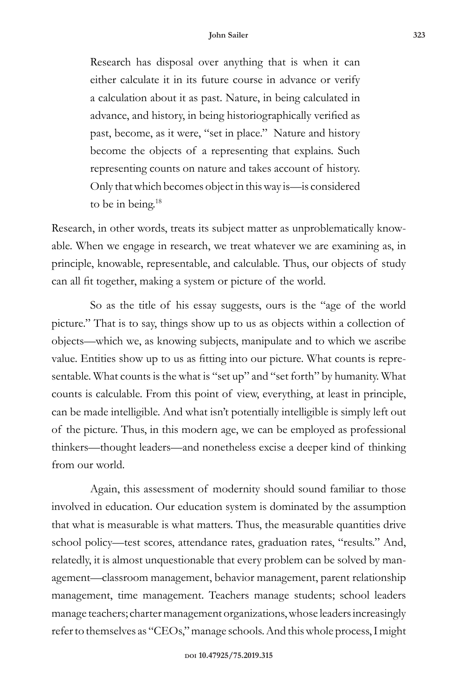Research has disposal over anything that is when it can either calculate it in its future course in advance or verify a calculation about it as past. Nature, in being calculated in advance, and history, in being historiographically verified as past, become, as it were, "set in place." Nature and history become the objects of a representing that explains. Such representing counts on nature and takes account of history. Only that which becomes object in this way is—is considered to be in being. $18$ 

Research, in other words, treats its subject matter as unproblematically knowable. When we engage in research, we treat whatever we are examining as, in principle, knowable, representable, and calculable. Thus, our objects of study can all fit together, making a system or picture of the world.

So as the title of his essay suggests, ours is the "age of the world picture." That is to say, things show up to us as objects within a collection of objects—which we, as knowing subjects, manipulate and to which we ascribe value. Entities show up to us as fitting into our picture. What counts is representable. What counts is the what is "set up" and "set forth" by humanity. What counts is calculable. From this point of view, everything, at least in principle, can be made intelligible. And what isn't potentially intelligible is simply left out of the picture. Thus, in this modern age, we can be employed as professional thinkers—thought leaders—and nonetheless excise a deeper kind of thinking from our world.

Again, this assessment of modernity should sound familiar to those involved in education. Our education system is dominated by the assumption that what is measurable is what matters. Thus, the measurable quantities drive school policy—test scores, attendance rates, graduation rates, "results." And, relatedly, it is almost unquestionable that every problem can be solved by management—classroom management, behavior management, parent relationship management, time management. Teachers manage students; school leaders manage teachers; charter management organizations, whose leaders increasingly refer to themselves as "CEOs," manage schools. And this whole process, I might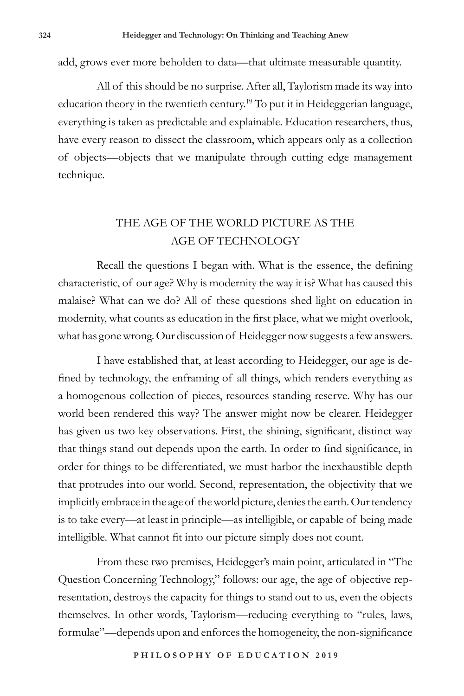add, grows ever more beholden to data—that ultimate measurable quantity.

All of this should be no surprise. After all, Taylorism made its way into education theory in the twentieth century.19 To put it in Heideggerian language, everything is taken as predictable and explainable. Education researchers, thus, have every reason to dissect the classroom, which appears only as a collection of objects—objects that we manipulate through cutting edge management technique.

# THE AGE OF THE WORLD PICTURE AS THE AGE OF TECHNOLOGY

Recall the questions I began with. What is the essence, the defining characteristic, of our age? Why is modernity the way it is? What has caused this malaise? What can we do? All of these questions shed light on education in modernity, what counts as education in the first place, what we might overlook, what has gone wrong. Our discussion of Heidegger now suggests a few answers.

I have established that, at least according to Heidegger, our age is defined by technology, the enframing of all things, which renders everything as a homogenous collection of pieces, resources standing reserve. Why has our world been rendered this way? The answer might now be clearer. Heidegger has given us two key observations. First, the shining, significant, distinct way that things stand out depends upon the earth. In order to find significance, in order for things to be differentiated, we must harbor the inexhaustible depth that protrudes into our world. Second, representation, the objectivity that we implicitly embrace in the age of the world picture, denies the earth. Our tendency is to take every—at least in principle—as intelligible, or capable of being made intelligible. What cannot fit into our picture simply does not count.

From these two premises, Heidegger's main point, articulated in "The Question Concerning Technology," follows: our age, the age of objective representation, destroys the capacity for things to stand out to us, even the objects themselves. In other words, Taylorism—reducing everything to "rules, laws, formulae"—depends upon and enforces the homogeneity, the non-significance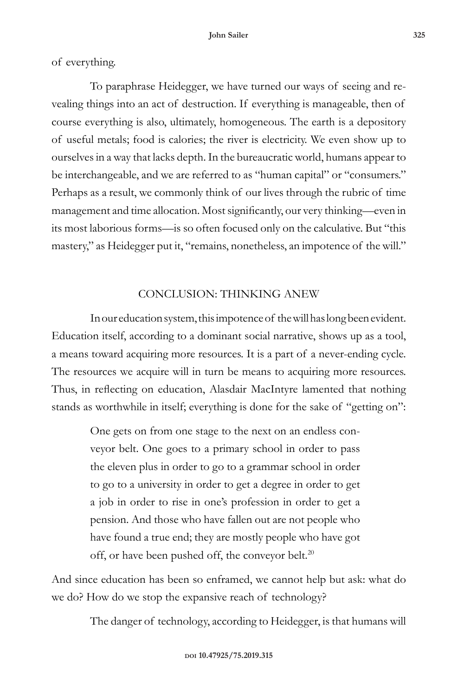of everything.

To paraphrase Heidegger, we have turned our ways of seeing and revealing things into an act of destruction. If everything is manageable, then of course everything is also, ultimately, homogeneous. The earth is a depository of useful metals; food is calories; the river is electricity. We even show up to ourselves in a way that lacks depth. In the bureaucratic world, humans appear to be interchangeable, and we are referred to as "human capital" or "consumers." Perhaps as a result, we commonly think of our lives through the rubric of time management and time allocation. Most significantly, our very thinking—even in its most laborious forms—is so often focused only on the calculative. But "this mastery," as Heidegger put it, "remains, nonetheless, an impotence of the will."

## CONCLUSION: THINKING ANEW

In our education system, this impotence of the will has long been evident. Education itself, according to a dominant social narrative, shows up as a tool, a means toward acquiring more resources. It is a part of a never-ending cycle. The resources we acquire will in turn be means to acquiring more resources. Thus, in reflecting on education, Alasdair MacIntyre lamented that nothing stands as worthwhile in itself; everything is done for the sake of "getting on":

> One gets on from one stage to the next on an endless conveyor belt. One goes to a primary school in order to pass the eleven plus in order to go to a grammar school in order to go to a university in order to get a degree in order to get a job in order to rise in one's profession in order to get a pension. And those who have fallen out are not people who have found a true end; they are mostly people who have got off, or have been pushed off, the conveyor belt.<sup>20</sup>

And since education has been so enframed, we cannot help but ask: what do we do? How do we stop the expansive reach of technology?

The danger of technology, according to Heidegger, is that humans will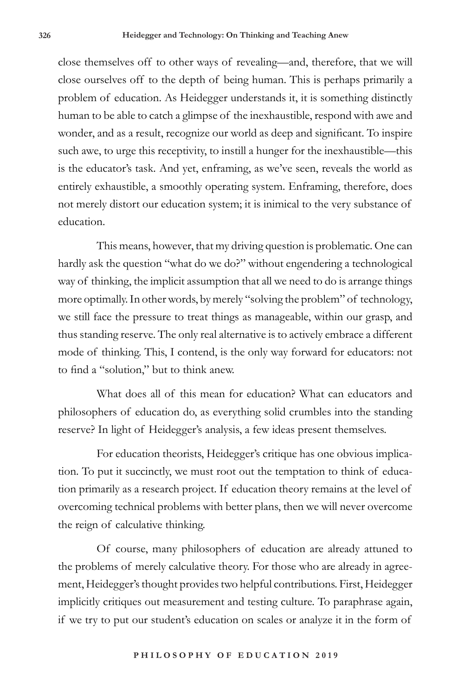close themselves off to other ways of revealing—and, therefore, that we will close ourselves off to the depth of being human. This is perhaps primarily a problem of education. As Heidegger understands it, it is something distinctly human to be able to catch a glimpse of the inexhaustible, respond with awe and wonder, and as a result, recognize our world as deep and significant. To inspire such awe, to urge this receptivity, to instill a hunger for the inexhaustible—this is the educator's task. And yet, enframing, as we've seen, reveals the world as entirely exhaustible, a smoothly operating system. Enframing, therefore, does not merely distort our education system; it is inimical to the very substance of education.

This means, however, that my driving question is problematic. One can hardly ask the question "what do we do?" without engendering a technological way of thinking, the implicit assumption that all we need to do is arrange things more optimally. In other words, by merely "solving the problem" of technology, we still face the pressure to treat things as manageable, within our grasp, and thus standing reserve. The only real alternative is to actively embrace a different mode of thinking. This, I contend, is the only way forward for educators: not to find a "solution," but to think anew.

What does all of this mean for education? What can educators and philosophers of education do, as everything solid crumbles into the standing reserve? In light of Heidegger's analysis, a few ideas present themselves.

For education theorists, Heidegger's critique has one obvious implication. To put it succinctly, we must root out the temptation to think of education primarily as a research project. If education theory remains at the level of overcoming technical problems with better plans, then we will never overcome the reign of calculative thinking.

Of course, many philosophers of education are already attuned to the problems of merely calculative theory. For those who are already in agreement, Heidegger's thought provides two helpful contributions. First, Heidegger implicitly critiques out measurement and testing culture. To paraphrase again, if we try to put our student's education on scales or analyze it in the form of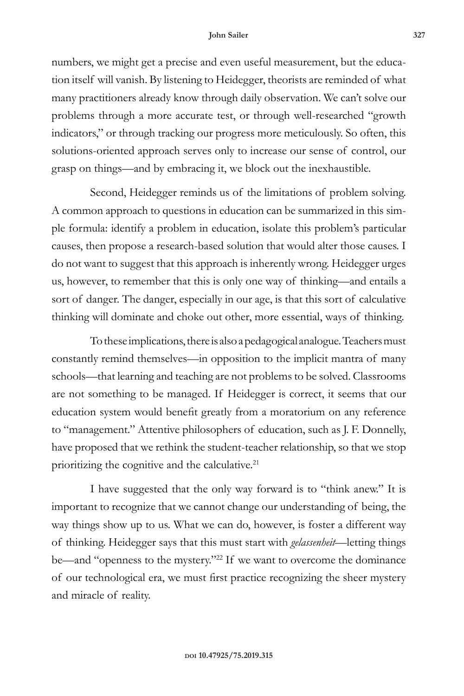#### **John Sailer 327**

numbers, we might get a precise and even useful measurement, but the education itself will vanish. By listening to Heidegger, theorists are reminded of what many practitioners already know through daily observation. We can't solve our problems through a more accurate test, or through well-researched "growth indicators," or through tracking our progress more meticulously. So often, this solutions-oriented approach serves only to increase our sense of control, our grasp on things—and by embracing it, we block out the inexhaustible.

Second, Heidegger reminds us of the limitations of problem solving. A common approach to questions in education can be summarized in this simple formula: identify a problem in education, isolate this problem's particular causes, then propose a research-based solution that would alter those causes. I do not want to suggest that this approach is inherently wrong. Heidegger urges us, however, to remember that this is only one way of thinking—and entails a sort of danger. The danger, especially in our age, is that this sort of calculative thinking will dominate and choke out other, more essential, ways of thinking.

To these implications, there is also a pedagogical analogue. Teachers must constantly remind themselves—in opposition to the implicit mantra of many schools—that learning and teaching are not problems to be solved. Classrooms are not something to be managed. If Heidegger is correct, it seems that our education system would benefit greatly from a moratorium on any reference to "management." Attentive philosophers of education, such as J. F. Donnelly, have proposed that we rethink the student-teacher relationship, so that we stop prioritizing the cognitive and the calculative.<sup>21</sup>

I have suggested that the only way forward is to "think anew." It is important to recognize that we cannot change our understanding of being, the way things show up to us. What we can do, however, is foster a different way of thinking. Heidegger says that this must start with *gelassenheit*—letting things be—and "openness to the mystery."<sup>22</sup> If we want to overcome the dominance of our technological era, we must first practice recognizing the sheer mystery and miracle of reality.